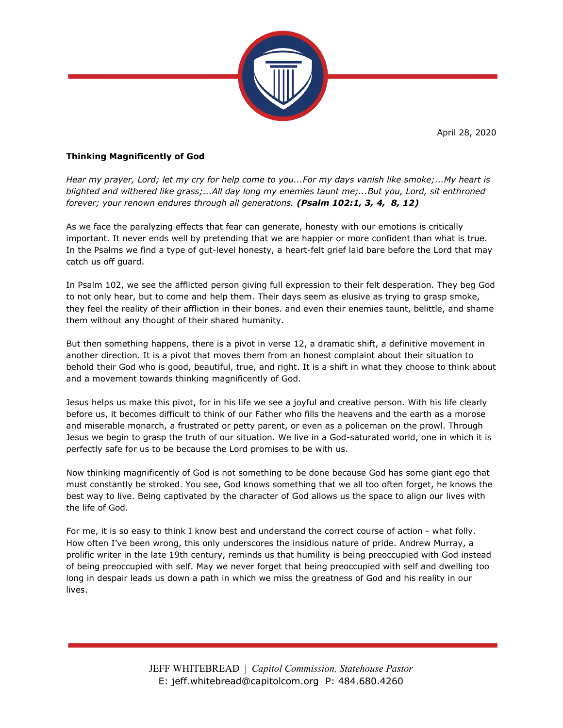April 28, 2020



## **Thinking Magnificently of God**

*Hear my prayer, Lord; let my cry for help come to you...For my days vanish like smoke;...My heart is blighted and withered like grass;...All day long my enemies taunt me;...But you, Lord, sit enthroned forever; your renown endures through all generations. (Psalm 102:1, 3, 4, 8, 12)*

As we face the paralyzing effects that fear can generate, honesty with our emotions is critically important. It never ends well by pretending that we are happier or more confident than what is true. In the Psalms we find a type of gut-level honesty, a heart-felt grief laid bare before the Lord that may catch us off guard.

In Psalm 102, we see the afflicted person giving full expression to their felt desperation. They beg God to not only hear, but to come and help them. Their days seem as elusive as trying to grasp smoke, they feel the reality of their affliction in their bones. and even their enemies taunt, belittle, and shame them without any thought of their shared humanity.

But then something happens, there is a pivot in verse 12, a dramatic shift, a definitive movement in another direction. It is a pivot that moves them from an honest complaint about their situation to behold their God who is good, beautiful, true, and right. It is a shift in what they choose to think about and a movement towards thinking magnificently of God.

Jesus helps us make this pivot, for in his life we see a joyful and creative person. With his life clearly before us, it becomes difficult to think of our Father who fills the heavens and the earth as a morose and miserable monarch, a frustrated or petty parent, or even as a policeman on the prowl. Through Jesus we begin to grasp the truth of our situation. We live in a God-saturated world, one in which it is perfectly safe for us to be because the Lord promises to be with us.

Now thinking magnificently of God is not something to be done because God has some giant ego that must constantly be stroked. You see, God knows something that we all too often forget, he knows the best way to live. Being captivated by the character of God allows us the space to align our lives with the life of God.

For me, it is so easy to think I know best and understand the correct course of action - what folly. How often I've been wrong, this only underscores the insidious nature of pride. Andrew Murray, a prolific writer in the late 19th century, reminds us that humility is being preoccupied with God instead of being preoccupied with self. May we never forget that being preoccupied with self and dwelling too long in despair leads us down a path in which we miss the greatness of God and his reality in our lives.